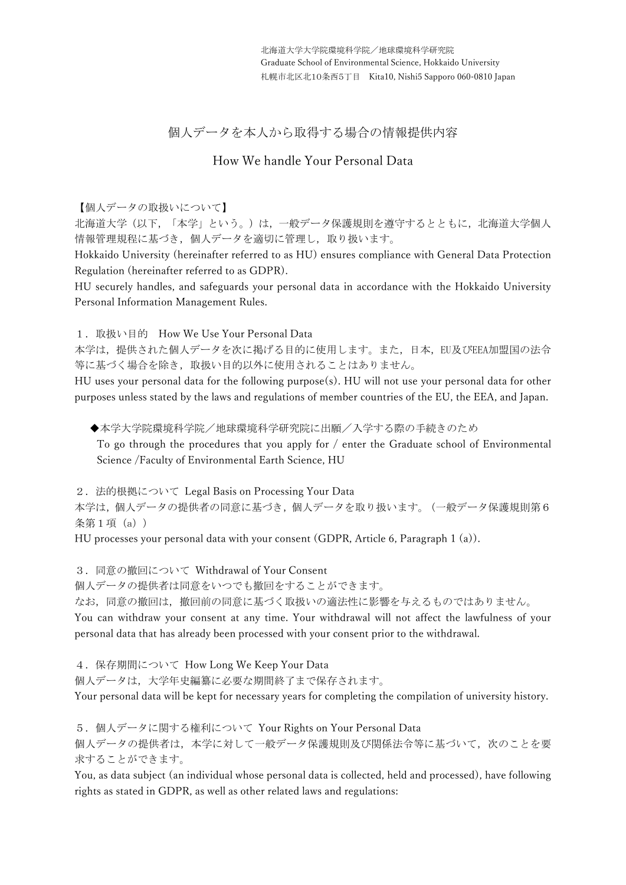# 個人データを本人から取得する場合の情報提供内容

## How We handle Your Personal Data

#### 【個人データの取扱いについて】

北海道大学(以下,「本学」という。)は,一般データ保護規則を遵守するとともに,北海道大学個人 情報管理規程に基づき,個人データを適切に管理し,取り扱います。

Hokkaido University (hereinafter referred to as HU) ensures compliance with General Data Protection Regulation (hereinafter referred to as GDPR).

HU securely handles, and safeguards your personal data in accordance with the Hokkaido University Personal Information Management Rules.

1. 取扱い目的 How We Use Your Personal Data

本学は、提供された個人データを次に掲げる目的に使用します。また、日本、EU及びEEA加盟国の法令 等に基づく場合を除き,取扱い目的以外に使用されることはありません。

HU uses your personal data for the following purpose(s). HU will not use your personal data for other purposes unless stated by the laws and regulations of member countries of the EU, the EEA, and Japan.

◆本学大学院環境科学院/地球環境科学研究院に出願/入学する際の手続きのため

To go through the procedures that you apply for / enter the Graduate school of Environmental Science /Faculty of Environmental Earth Science, HU

2.法的根拠について Legal Basis on Processing Your Data

本学は,個人データの提供者の同意に基づき,個人データを取り扱います。(一般データ保護規則第6 条第1項 (a))

HU processes your personal data with your consent (GDPR, Article 6, Paragraph 1 (a)).

3.同意の撤回について Withdrawal of Your Consent

個人データの提供者は同意をいつでも撤回をすることができます。

なお,同意の撤回は,撤回前の同意に基づく取扱いの適法性に影響を与えるものではありません。

You can withdraw your consent at any time. Your withdrawal will not affect the lawfulness of your personal data that has already been processed with your consent prior to the withdrawal.

4.保存期間について How Long We Keep Your Data

個人データは,大学年史編纂に必要な期間終了まで保存されます。

Your personal data will be kept for necessary years for completing the compilation of university history.

5.個人データに関する権利について Your Rights on Your Personal Data

個人データの提供者は、本学に対して一般データ保護規則及び関係法令等に基づいて、次のことを要 求することができます。

You, as data subject (an individual whose personal data is collected, held and processed), have following rights as stated in GDPR, as well as other related laws and regulations: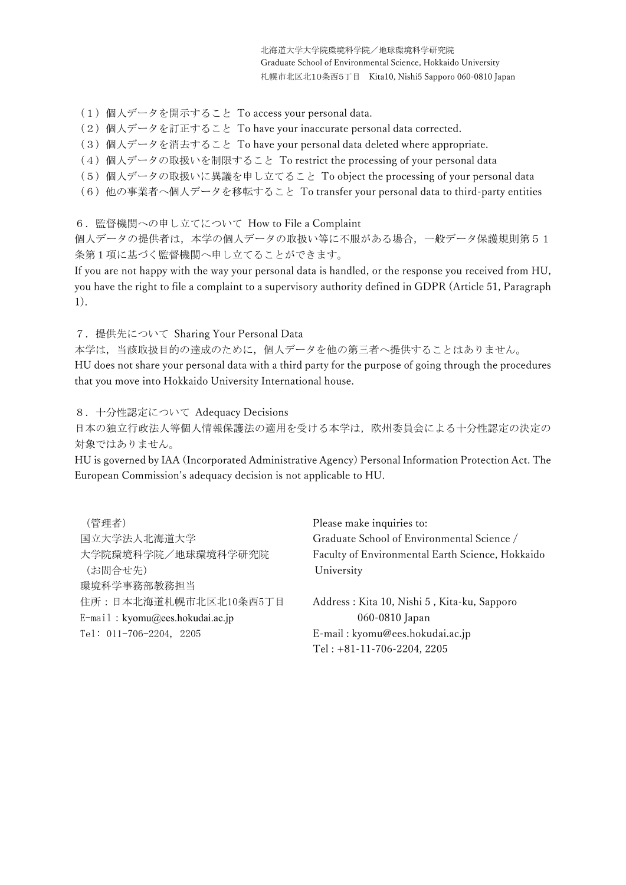- (1)個人データを開示すること To access your personal data.
- (2)個人データを訂正すること To have your inaccurate personal data corrected.
- (3) 個人データを消去すること To have your personal data deleted where appropriate.
- (4) 個人データの取扱いを制限すること To restrict the processing of your personal data
- (5)個人データの取扱いに異議を申し立てること To object the processing of your personal data
- (6)他の事業者へ個人データを移転すること To transfer your personal data to third-party entities

6.監督機関への申し立てについて How to File a Complaint

個人データの提供者は,本学の個人データの取扱い等に不服がある場合,一般データ保護規則第51 条第1項に基づく監督機関へ申し立てることができます。

If you are not happy with the way your personal data is handled, or the response you received from HU, you have the right to file a complaint to a supervisory authority defined in GDPR (Article 51, Paragraph 1).

7.提供先について Sharing Your Personal Data

本学は,当該取扱目的の達成のために,個人データを他の第三者へ提供することはありません。 HU does not share your personal data with a third party for the purpose of going through the procedures that you move into Hokkaido University International house.

8.十分性認定について Adequacy Decisions

日本の独立行政法人等個人情報保護法の適用を受ける本学は,欧州委員会による十分性認定の決定の 対象ではありません。

HU is governed by IAA (Incorporated Administrative Agency) Personal Information Protection Act. The European Commission's adequacy decision is not applicable to HU.

| (管理者)                           | Please make inquiries to:                        |
|---------------------------------|--------------------------------------------------|
| 国立大学法人北海道大学                     | Graduate School of Environmental Science /       |
| 大学院環境科学院/地球環境科学研究院              | Faculty of Environmental Earth Science, Hokkaido |
| (お問合せ先)                         | University                                       |
| 環境科学事務部教務担当                     |                                                  |
| 住所:日本北海道札幌市北区北10条西5丁目           | Address: Kita 10, Nishi 5, Kita-ku, Sapporo      |
| E-mail: kyomu@ees.hokudai.ac.jp | 060-0810 Japan                                   |
| Tel: 011-706-2204, 2205         | E-mail: kyomu@ees.hokudai.ac.jp                  |
|                                 | Tel: $+81-11-706-2204$ , 2205                    |